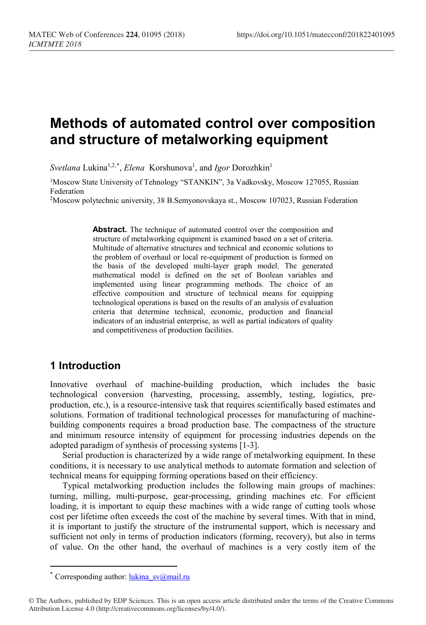# **Methods of automated control over composition and structure of metalworking equipment**

Svetlana Lukina<sup>1,2,[\\*](#page-0-0)</sup>, *Elena* Korshunova<sup>1</sup>, and *Igor* Dorozhkin<sup>1</sup>

<sup>1</sup>Moscow State University of Tehnology "STANKIN", 3a Vadkovsky, Moscow 127055, Russian Federation

2Moscow polytechnic university, 38 B.Semyonovskaya st., Moscow 107023, Russian Federation

**Abstract.** The technique of automated control over the composition and structure of metalworking equipment is examined based on a set of criteria. Multitude of alternative structures and technical and economic solutions to the problem of overhaul or local re-equipment of production is formed on the basis of the developed multi-layer graph model. The generated mathematical model is defined on the set of Boolean variables and implemented using linear programming methods. The choice of an effective composition and structure of technical means for equipping technological operations is based on the results of an analysis of evaluation criteria that determine technical, economic, production and financial indicators of an industrial enterprise, as well as partial indicators of quality and competitiveness of production facilities.

## **1 Introduction**

Innovative overhaul of machine-building production, which includes the basic technological conversion (harvesting, processing, assembly, testing, logistics, preproduction, etc.), is a resource-intensive task that requires scientifically based estimates and solutions. Formation of traditional technological processes for manufacturing of machinebuilding components requires a broad production base. The compactness of the structure and minimum resource intensity of equipment for processing industries depends on the adopted paradigm of synthesis of processing systems [1-3].

Serial production is characterized by a wide range of metalworking equipment. In these conditions, it is necessary to use analytical methods to automate formation and selection of technical means for equipping forming operations based on their efficiency.

Typical metalworking production includes the following main groups of machines: turning, milling, multi-purpose, gear-processing, grinding machines etc. For efficient loading, it is important to equip these machines with a wide range of cutting tools whose cost per lifetime often exceeds the cost of the machine by several times. With that in mind, it is important to justify the structure of the instrumental support, which is necessary and sufficient not only in terms of production indicators (forming, recovery), but also in terms of value. On the other hand, the overhaul of machines is a very costly item of the

 $\overline{a}$ 

<sup>\*</sup> Corresponding author:  $\frac{\text{lukina}}{\text{sv@mail.ru}}$ 

<span id="page-0-0"></span><sup>©</sup> The Authors, published by EDP Sciences. This is an open access article distributed under the terms of the Creative Commons Attribution License 4.0 (http://creativecommons.org/licenses/by/4.0/).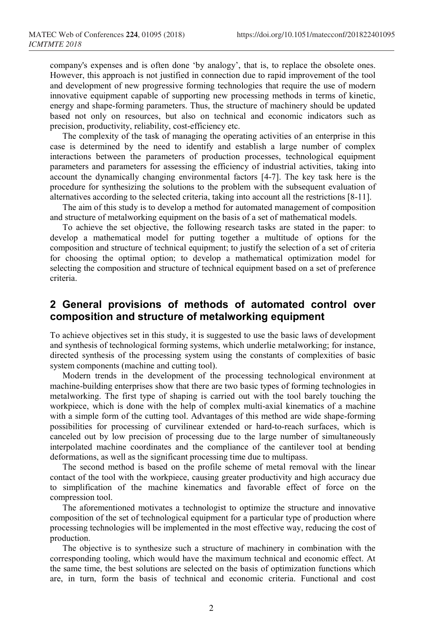company's expenses and is often done 'by analogy', that is, to replace the obsolete ones. However, this approach is not justified in connection due to rapid improvement of the tool and development of new progressive forming technologies that require the use of modern innovative equipment capable of supporting new processing methods in terms of kinetic, energy and shape-forming parameters. Thus, the structure of machinery should be updated based not only on resources, but also on technical and economic indicators such as precision, productivity, reliability, cost-efficiency etc.

The complexity of the task of managing the operating activities of an enterprise in this case is determined by the need to identify and establish a large number of complex interactions between the parameters of production processes, technological equipment parameters and parameters for assessing the efficiency of industrial activities, taking into account the dynamically changing environmental factors [4-7]. The key task here is the procedure for synthesizing the solutions to the problem with the subsequent evaluation of alternatives according to the selected criteria, taking into account all the restrictions [8-11].

The aim of this study is to develop a method for automated management of composition and structure of metalworking equipment on the basis of a set of mathematical models.

To achieve the set objective, the following research tasks are stated in the paper: to develop a mathematical model for putting together a multitude of options for the composition and structure of technical equipment; to justify the selection of a set of criteria for choosing the optimal option; to develop a mathematical optimization model for selecting the composition and structure of technical equipment based on a set of preference criteria.

## **2 General provisions of methods of automated control over composition and structure of metalworking equipment**

To achieve objectives set in this study, it is suggested to use the basic laws of development and synthesis of technological forming systems, which underlie metalworking; for instance, directed synthesis of the processing system using the constants of complexities of basic system components (machine and cutting tool).

Modern trends in the development of the processing technological environment at machine-building enterprises show that there are two basic types of forming technologies in metalworking. The first type of shaping is carried out with the tool barely touching the workpiece, which is done with the help of complex multi-axial kinematics of a machine with a simple form of the cutting tool. Advantages of this method are wide shape-forming possibilities for processing of curvilinear extended or hard-to-reach surfaces, which is canceled out by low precision of processing due to the large number of simultaneously interpolated machine coordinates and the compliance of the cantilever tool at bending deformations, as well as the significant processing time due to multipass.

The second method is based on the profile scheme of metal removal with the linear contact of the tool with the workpiece, causing greater productivity and high accuracy due to simplification of the machine kinematics and favorable effect of force on the compression tool.

The aforementioned motivates a technologist to optimize the structure and innovative composition of the set of technological equipment for a particular type of production where processing technologies will be implemented in the most effective way, reducing the cost of production.

The objective is to synthesize such a structure of machinery in combination with the corresponding tooling, which would have the maximum technical and economic effect. At the same time, the best solutions are selected on the basis of optimization functions which are, in turn, form the basis of technical and economic criteria. Functional and cost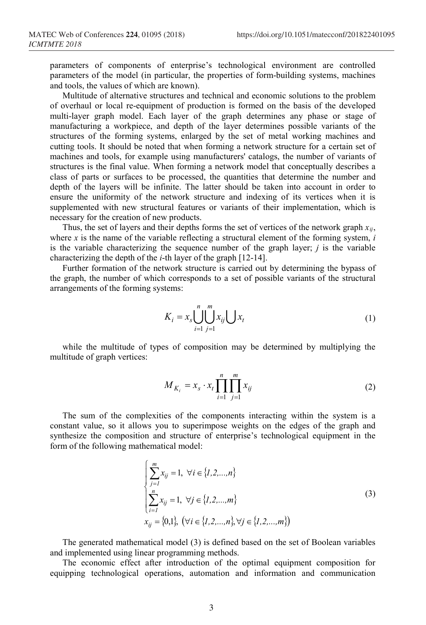parameters of components of enterprise's technological environment are controlled parameters of the model (in particular, the properties of form-building systems, machines and tools, the values of which are known).

Multitude of alternative structures and technical and economic solutions to the problem of overhaul or local re-equipment of production is formed on the basis of the developed multi-layer graph model. Each layer of the graph determines any phase or stage of manufacturing a workpiece, and depth of the layer determines possible variants of the structures of the forming systems, enlarged by the set of metal working machines and cutting tools. It should be noted that when forming a network structure for a certain set of machines and tools, for example using manufacturers' catalogs, the number of variants of structures is the final value. When forming a network model that conceptually describes a class of parts or surfaces to be processed, the quantities that determine the number and depth of the layers will be infinite. The latter should be taken into account in order to ensure the uniformity of the network structure and indexing of its vertices when it is supplemented with new structural features or variants of their implementation, which is necessary for the creation of new products.

Thus, the set of layers and their depths forms the set of vertices of the network graph *xij*, where *x* is the name of the variable reflecting a structural element of the forming system, *i* is the variable characterizing the sequence number of the graph layer; *j* is the variable characterizing the depth of the *i*-th layer of the graph [12-14].

Further formation of the network structure is carried out by determining the bypass of the graph, the number of which corresponds to a set of possible variants of the structural arrangements of the forming systems:

$$
K_i = x_s \bigcup_{i=1}^{n} \bigcup_{j=1}^{m} x_{ij} \bigcup x_t \tag{1}
$$

while the multitude of types of composition may be determined by multiplying the multitude of graph vertices:

$$
M_{K_i} = x_s \cdot x_t \prod_{i=1}^n \prod_{j=1}^m x_{ij}
$$
 (2)

The sum of the complexities of the components interacting within the system is a constant value, so it allows you to superimpose weights on the edges of the graph and synthesize the composition and structure of enterprise's technological equipment in the form of the following mathematical model:

$$
\begin{cases}\n\sum_{j=1}^{m} x_{ij} = 1, \forall i \in \{1, 2, ..., n\} \\
\sum_{i=1}^{n} x_{ij} = 1, \forall j \in \{1, 2, ..., m\} \\
x_{ij} = \{0, 1\}, \ (\forall i \in \{1, 2, ..., n\}, \forall j \in \{1, 2, ..., m\})\n\end{cases}
$$
\n(3)

The generated mathematical model (3) is defined based on the set of Boolean variables and implemented using linear programming methods.

The economic effect after introduction of the optimal equipment composition for equipping technological operations, automation and information and communication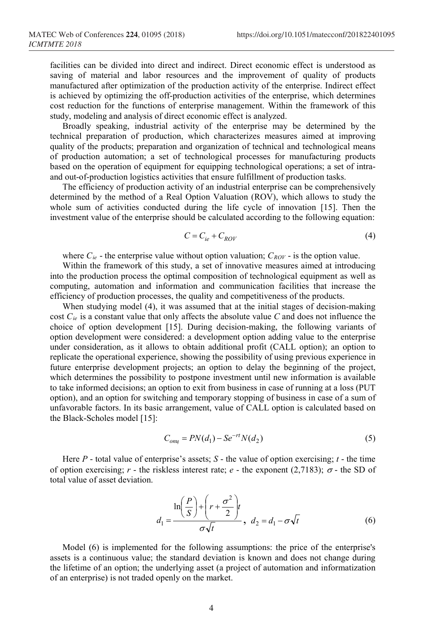facilities can be divided into direct and indirect. Direct economic effect is understood as saving of material and labor resources and the improvement of quality of products manufactured after optimization of the production activity of the enterprise. Indirect effect is achieved by optimizing the off-production activities of the enterprise, which determines cost reduction for the functions of enterprise management. Within the framework of this study, modeling and analysis of direct economic effect is analyzed.

Broadly speaking, industrial activity of the enterprise may be determined by the technical preparation of production, which characterizes measures aimed at improving quality of the products; preparation and organization of technical and technological means of production automation; a set of technological processes for manufacturing products based on the operation of equipment for equipping technological operations; a set of intraand out-of-production logistics activities that ensure fulfillment of production tasks.

The efficiency of production activity of an industrial enterprise can be comprehensively determined by the method of a Real Option Valuation (ROV), which allows to study the whole sum of activities conducted during the life cycle of innovation [15]. Then the investment value of the enterprise should be calculated according to the following equation:

$$
C = C_{ie} + C_{ROV} \tag{4}
$$

where  $C_{ie}$  - the enterprise value without option valuation;  $C_{ROV}$  - is the option value.

Within the framework of this study, a set of innovative measures aimed at introducing into the production process the optimal composition of technological equipment as well as computing, automation and information and communication facilities that increase the efficiency of production processes, the quality and competitiveness of the products.

When studying model (4), it was assumed that at the initial stages of decision-making cost *Cie* is a constant value that only affects the absolute value *C* and does not influence the choice of option development [15]. During decision-making, the following variants of option development were considered: a development option adding value to the enterprise under consideration, as it allows to obtain additional profit (CALL option); an option to replicate the operational experience, showing the possibility of using previous experience in future enterprise development projects; an option to delay the beginning of the project, which determines the possibility to postpone investment until new information is available to take informed decisions; an option to exit from business in case of running at a loss (PUT option), and an option for switching and temporary stopping of business in case of a sum of unfavorable factors. In its basic arrangement, value of CALL option is calculated based on the Black-Scholes model [15]:

$$
C_{ony} = PN(d_1) - Se^{-rt}N(d_2)
$$
\n(5)

Here *Р* - total value of enterprise's assets; *S* - the value of option exercising; *t* - the time of option exercising; *r* - the riskless interest rate; *e* - the exponent (2,7183);  $\sigma$  - the SD of total value of asset deviation.

$$
d_1 = \frac{\ln\left(\frac{P}{S}\right) + \left(r + \frac{\sigma^2}{2}\right)t}{\sigma\sqrt{t}}, \ d_2 = d_1 - \sigma\sqrt{t} \tag{6}
$$

Model (6) is implemented for the following assumptions: the price of the enterprise's assets is a continuous value; the standard deviation is known and does not change during the lifetime of an option; the underlying asset (a project of automation and informatization of an enterprise) is not traded openly on the market.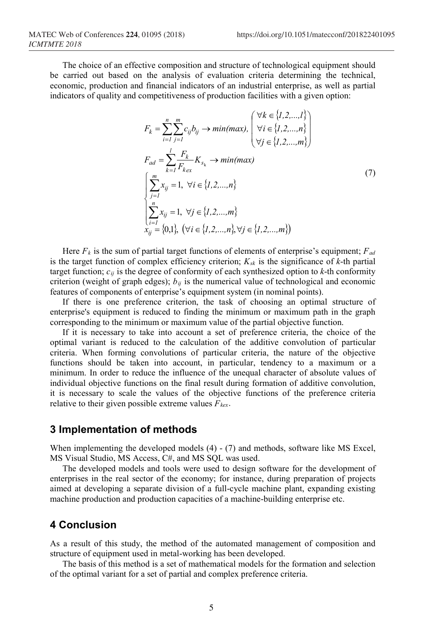The choice of an effective composition and structure of technological equipment should be carried out based on the analysis of evaluation criteria determining the technical, economic, production and financial indicators of an industrial enterprise, as well as partial indicators of quality and competitiveness of production facilities with a given option:

$$
F_k = \sum_{i=1}^{n} \sum_{j=1}^{m} c_{ij} b_{ij} \rightarrow min(max), \begin{pmatrix} \forall k \in \{1, 2, ..., l\} \\ \forall i \in \{1, 2, ..., n\} \\ \forall j \in \{1, 2, ..., m\} \end{pmatrix}
$$
  
\n
$$
F_{ad} = \sum_{k=1}^{l} \frac{F_k}{F_{k_{ex}}} K_{s_k} \rightarrow min(max)
$$
  
\n
$$
\left( \sum_{j=1}^{m} x_{ij} = 1, \forall i \in \{1, 2, ..., n\}
$$
  
\n
$$
\sum_{i=1}^{n} x_{ij} = 1, \forall j \in \{1, 2, ..., m\}
$$
  
\n
$$
x_{ij} = \{0, 1\}, \forall i \in \{1, 2, ..., n\}, \forall j \in \{1, 2, ..., m\} \}
$$
  
\n(7)

Here  $F_k$  is the sum of partial target functions of elements of enterprise's equipment;  $F_{ad}$ is the target function of complex efficiency criterion;  $K_{sk}$  is the significance of  $k$ -th partial target function;  $c_{ij}$  is the degree of conformity of each synthesized option to  $k$ -th conformity criterion (weight of graph edges);  $b_{ij}$  is the numerical value of technological and economic features of components of enterprise's equipment system (in nominal points).

If there is one preference criterion, the task of choosing an optimal structure of enterprise's equipment is reduced to finding the minimum or maximum path in the graph corresponding to the minimum or maximum value of the partial objective function.

If it is necessary to take into account a set of preference criteria, the choice of the optimal variant is reduced to the calculation of the additive convolution of particular criteria. When forming convolutions of particular criteria, the nature of the objective functions should be taken into account, in particular, tendency to a maximum or a minimum. In order to reduce the influence of the unequal character of absolute values of individual objective functions on the final result during formation of additive convolution, it is necessary to scale the values of the objective functions of the preference criteria relative to their given possible extreme values  $F_{\text{ker}}$ .

#### **3 Implementation of methods**

When implementing the developed models (4) - (7) and methods, software like MS Excel, MS Visual Studio, MS Access, C#, and MS SQL was used.

The developed models and tools were used to design software for the development of enterprises in the real sector of the economy; for instance, during preparation of projects aimed at developing a separate division of a full-cycle machine plant, expanding existing machine production and production capacities of a machine-building enterprise etc.

### **4 Conclusion**

As a result of this study, the method of the automated management of composition and structure of equipment used in metal-working has been developed.

The basis of this method is a set of mathematical models for the formation and selection of the optimal variant for a set of partial and complex preference criteria.